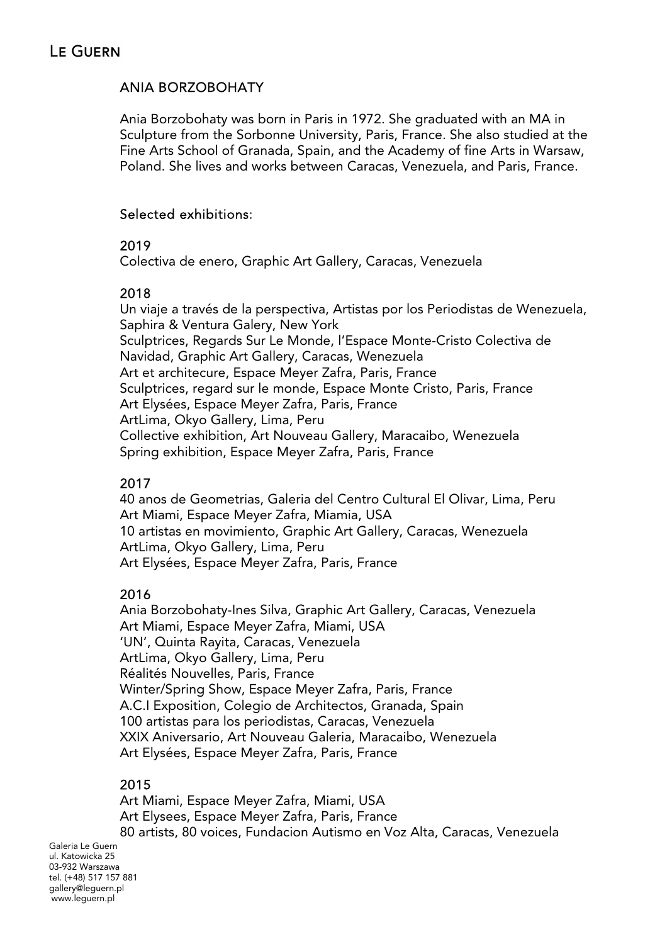## ANIA BORZOBOHATY

Ania Borzobohaty was born in Paris in 1972. She graduated with an MA in Sculpture from the Sorbonne University, Paris, France. She also studied at the Fine Arts School of Granada, Spain, and the Academy of fine Arts in Warsaw, Poland. She lives and works between Caracas, Venezuela, and Paris, France.

## Selected exhibitions:

### 2019

Colectiva de enero, Graphic Art Gallery, Caracas, Venezuela

## 2018

Un viaje a través de la perspectiva, Artistas por los Periodistas de Wenezuela, Saphira & Ventura Galery, New York Sculptrices, Regards Sur Le Monde, l'Espace Monte-Cristo Colectiva de Navidad, Graphic Art Gallery, Caracas, Wenezuela Art et architecure, Espace Meyer Zafra, Paris, France Sculptrices, regard sur le monde, Espace Monte Cristo, Paris, France Art Elysées, Espace Meyer Zafra, Paris, France ArtLima, Okyo Gallery, Lima, Peru Collective exhibition, Art Nouveau Gallery, Maracaibo, Wenezuela Spring exhibition, Espace Meyer Zafra, Paris, France

# 2017

40 anos de Geometrias, Galeria del Centro Cultural El Olivar, Lima, Peru Art Miami, Espace Meyer Zafra, Miamia, USA 10 artistas en movimiento, Graphic Art Gallery, Caracas, Wenezuela ArtLima, Okyo Gallery, Lima, Peru Art Elysées, Espace Meyer Zafra, Paris, France

# 2016

Ania Borzobohaty-Ines Silva, Graphic Art Gallery, Caracas, Venezuela Art Miami, Espace Meyer Zafra, Miami, USA 'UN', Quinta Rayita, Caracas, Venezuela ArtLima, Okyo Gallery, Lima, Peru Réalités Nouvelles, Paris, France Winter/Spring Show, Espace Meyer Zafra, Paris, France A.C.I Exposition, Colegio de Architectos, Granada, Spain 100 artistas para los periodistas, Caracas, Venezuela XXIX Aniversario, Art Nouveau Galeria, Maracaibo, Wenezuela Art Elysées, Espace Meyer Zafra, Paris, France

### 2015

Art Miami, Espace Meyer Zafra, Miami, USA Art Elysees, Espace Meyer Zafra, Paris, France 80 artists, 80 voices, Fundacion Autismo en Voz Alta, Caracas, Venezuela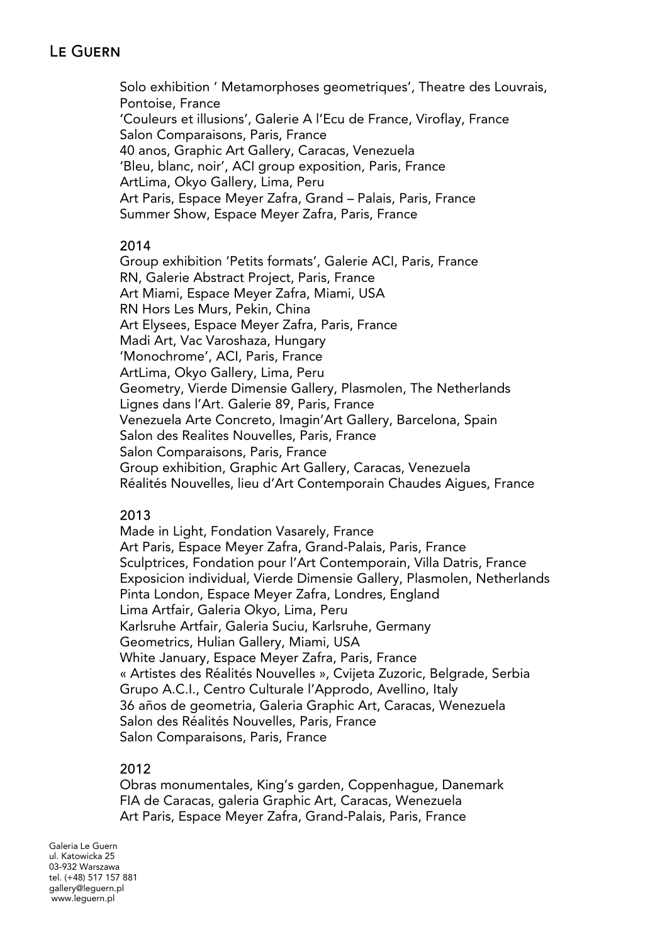Solo exhibition ' Metamorphoses geometriques', Theatre des Louvrais, Pontoise, France 'Couleurs et illusions', Galerie A l'Ecu de France, Viroflay, France Salon Comparaisons, Paris, France 40 anos, Graphic Art Gallery, Caracas, Venezuela 'Bleu, blanc, noir', ACI group exposition, Paris, France ArtLima, Okyo Gallery, Lima, Peru Art Paris, Espace Meyer Zafra, Grand – Palais, Paris, France Summer Show, Espace Meyer Zafra, Paris, France

### 2014

Group exhibition 'Petits formats', Galerie ACI, Paris, France RN, Galerie Abstract Project, Paris, France Art Miami, Espace Meyer Zafra, Miami, USA RN Hors Les Murs, Pekin, China Art Elysees, Espace Meyer Zafra, Paris, France Madi Art, Vac Varoshaza, Hungary 'Monochrome', ACI, Paris, France ArtLima, Okyo Gallery, Lima, Peru Geometry, Vierde Dimensie Gallery, Plasmolen, The Netherlands Lignes dans l'Art. Galerie 89, Paris, France Venezuela Arte Concreto, Imagin'Art Gallery, Barcelona, Spain Salon des Realites Nouvelles, Paris, France Salon Comparaisons, Paris, France Group exhibition, Graphic Art Gallery, Caracas, Venezuela Réalités Nouvelles, lieu d'Art Contemporain Chaudes Aigues, France

### 2013

Made in Light, Fondation Vasarely, France Art Paris, Espace Meyer Zafra, Grand-Palais, Paris, France Sculptrices, Fondation pour l'Art Contemporain, Villa Datris, France Exposicion individual, Vierde Dimensie Gallery, Plasmolen, Netherlands Pinta London, Espace Meyer Zafra, Londres, England Lima Artfair, Galeria Okyo, Lima, Peru Karlsruhe Artfair, Galeria Suciu, Karlsruhe, Germany Geometrics, Hulian Gallery, Miami, USA White January, Espace Meyer Zafra, Paris, France « Artistes des Réalités Nouvelles », Cvijeta Zuzoric, Belgrade, Serbia Grupo A.C.I., Centro Culturale l'Approdo, Avellino, Italy 36 años de geometria, Galeria Graphic Art, Caracas, Wenezuela Salon des Réalités Nouvelles, Paris, France Salon Comparaisons, Paris, France

### 2012

Obras monumentales, King's garden, Coppenhague, Danemark FIA de Caracas, galeria Graphic Art, Caracas, Wenezuela Art Paris, Espace Meyer Zafra, Grand-Palais, Paris, France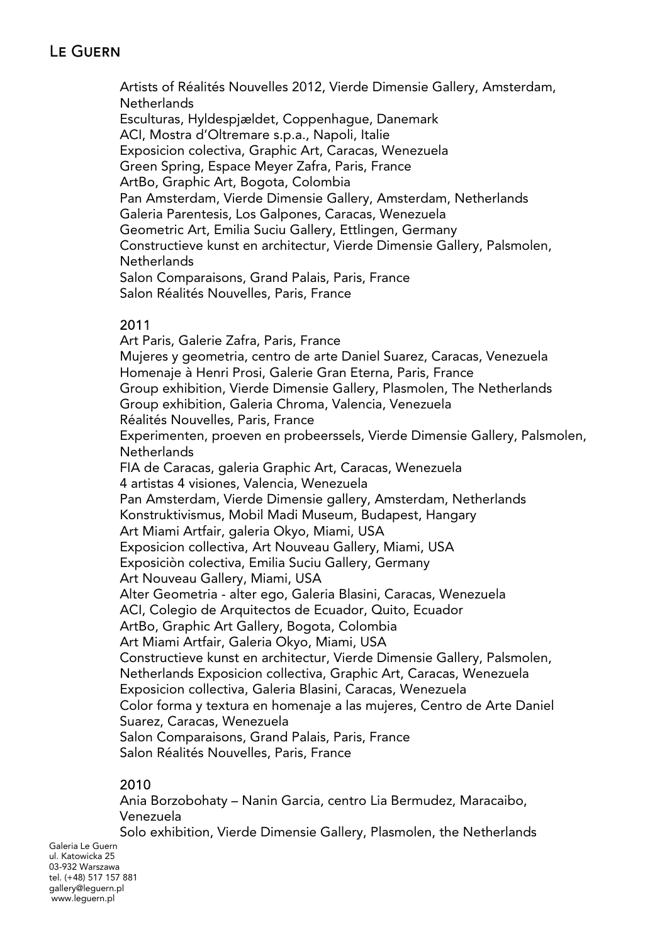Artists of Réalités Nouvelles 2012, Vierde Dimensie Gallery, Amsterdam, **Netherlands** Esculturas, Hyldespjældet, Coppenhague, Danemark ACI, Mostra d'Oltremare s.p.a., Napoli, Italie Exposicion colectiva, Graphic Art, Caracas, Wenezuela Green Spring, Espace Meyer Zafra, Paris, France ArtBo, Graphic Art, Bogota, Colombia Pan Amsterdam, Vierde Dimensie Gallery, Amsterdam, Netherlands Galeria Parentesis, Los Galpones, Caracas, Wenezuela Geometric Art, Emilia Suciu Gallery, Ettlingen, Germany Constructieve kunst en architectur, Vierde Dimensie Gallery, Palsmolen, **Netherlands** Salon Comparaisons, Grand Palais, Paris, France Salon Réalités Nouvelles, Paris, France

### 2011

Art Paris, Galerie Zafra, Paris, France Mujeres y geometria, centro de arte Daniel Suarez, Caracas, Venezuela Homenaje à Henri Prosi, Galerie Gran Eterna, Paris, France Group exhibition, Vierde Dimensie Gallery, Plasmolen, The Netherlands Group exhibition, Galeria Chroma, Valencia, Venezuela Réalités Nouvelles, Paris, France Experimenten, proeven en probeerssels, Vierde Dimensie Gallery, Palsmolen, Netherlands FIA de Caracas, galeria Graphic Art, Caracas, Wenezuela 4 artistas 4 visiones, Valencia, Wenezuela Pan Amsterdam, Vierde Dimensie gallery, Amsterdam, Netherlands Konstruktivismus, Mobil Madi Museum, Budapest, Hangary Art Miami Artfair, galeria Okyo, Miami, USA Exposicion collectiva, Art Nouveau Gallery, Miami, USA Exposiciòn colectiva, Emilia Suciu Gallery, Germany Art Nouveau Gallery, Miami, USA Alter Geometria - alter ego, Galeria Blasini, Caracas, Wenezuela ACI, Colegio de Arquitectos de Ecuador, Quito, Ecuador ArtBo, Graphic Art Gallery, Bogota, Colombia Art Miami Artfair, Galeria Okyo, Miami, USA Constructieve kunst en architectur, Vierde Dimensie Gallery, Palsmolen, Netherlands Exposicion collectiva, Graphic Art, Caracas, Wenezuela Exposicion collectiva, Galeria Blasini, Caracas, Wenezuela Color forma y textura en homenaje a las mujeres, Centro de Arte Daniel Suarez, Caracas, Wenezuela Salon Comparaisons, Grand Palais, Paris, France Salon Réalités Nouvelles, Paris, France

### 2010

Ania Borzobohaty – Nanin Garcia, centro Lia Bermudez, Maracaibo, Venezuela

Solo exhibition, Vierde Dimensie Gallery, Plasmolen, the Netherlands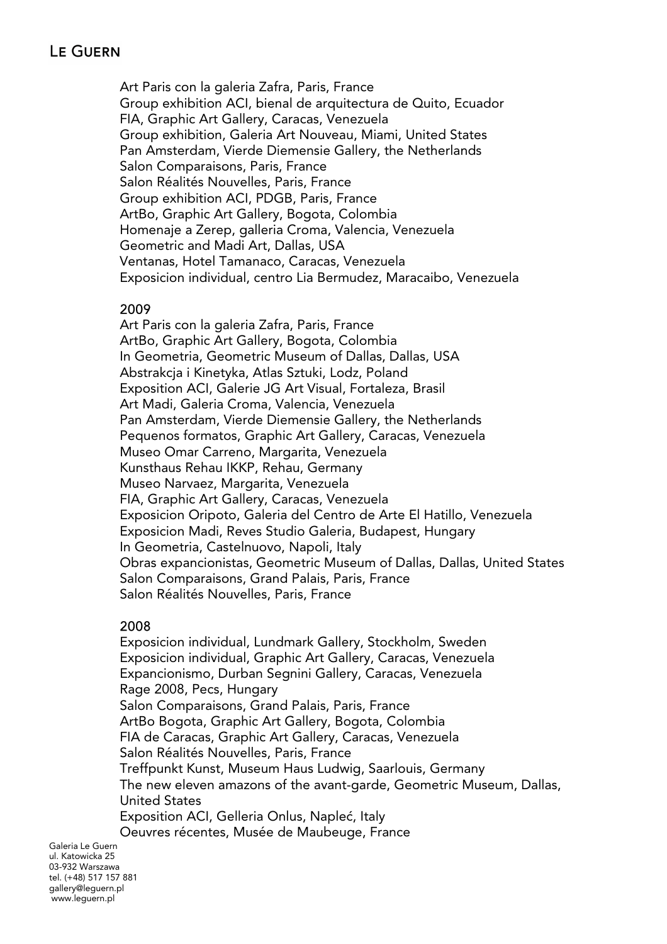Art Paris con la galeria Zafra, Paris, France Group exhibition ACI, bienal de arquitectura de Quito, Ecuador FIA, Graphic Art Gallery, Caracas, Venezuela Group exhibition, Galeria Art Nouveau, Miami, United States Pan Amsterdam, Vierde Diemensie Gallery, the Netherlands Salon Comparaisons, Paris, France Salon Réalités Nouvelles, Paris, France Group exhibition ACI, PDGB, Paris, France ArtBo, Graphic Art Gallery, Bogota, Colombia Homenaje a Zerep, galleria Croma, Valencia, Venezuela Geometric and Madi Art, Dallas, USA Ventanas, Hotel Tamanaco, Caracas, Venezuela Exposicion individual, centro Lia Bermudez, Maracaibo, Venezuela

#### 2009

Art Paris con la galeria Zafra, Paris, France ArtBo, Graphic Art Gallery, Bogota, Colombia In Geometria, Geometric Museum of Dallas, Dallas, USA Abstrakcja i Kinetyka, Atlas Sztuki, Lodz, Poland Exposition ACI, Galerie JG Art Visual, Fortaleza, Brasil Art Madi, Galeria Croma, Valencia, Venezuela Pan Amsterdam, Vierde Diemensie Gallery, the Netherlands Pequenos formatos, Graphic Art Gallery, Caracas, Venezuela Museo Omar Carreno, Margarita, Venezuela Kunsthaus Rehau IKKP, Rehau, Germany Museo Narvaez, Margarita, Venezuela FIA, Graphic Art Gallery, Caracas, Venezuela Exposicion Oripoto, Galeria del Centro de Arte El Hatillo, Venezuela Exposicion Madi, Reves Studio Galeria, Budapest, Hungary In Geometria, Castelnuovo, Napoli, Italy Obras expancionistas, Geometric Museum of Dallas, Dallas, United States Salon Comparaisons, Grand Palais, Paris, France Salon Réalités Nouvelles, Paris, France

### 2008

Exposicion individual, Lundmark Gallery, Stockholm, Sweden Exposicion individual, Graphic Art Gallery, Caracas, Venezuela Expancionismo, Durban Segnini Gallery, Caracas, Venezuela Rage 2008, Pecs, Hungary Salon Comparaisons, Grand Palais, Paris, France ArtBo Bogota, Graphic Art Gallery, Bogota, Colombia FIA de Caracas, Graphic Art Gallery, Caracas, Venezuela Salon Réalités Nouvelles, Paris, France Treffpunkt Kunst, Museum Haus Ludwig, Saarlouis, Germany The new eleven amazons of the avant-garde, Geometric Museum, Dallas, United States Exposition ACI, Gelleria Onlus, Napleć, Italy Oeuvres récentes, Musée de Maubeuge, France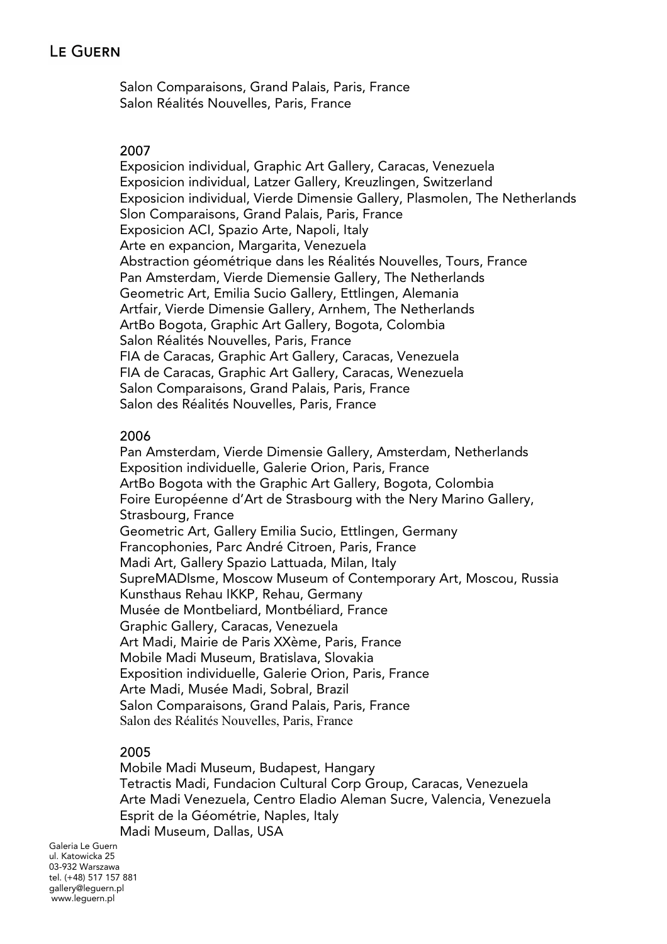Salon Comparaisons, Grand Palais, Paris, France Salon Réalités Nouvelles, Paris, France

#### 2007

Exposicion individual, Graphic Art Gallery, Caracas, Venezuela Exposicion individual, Latzer Gallery, Kreuzlingen, Switzerland Exposicion individual, Vierde Dimensie Gallery, Plasmolen, The Netherlands Slon Comparaisons, Grand Palais, Paris, France Exposicion ACI, Spazio Arte, Napoli, Italy Arte en expancion, Margarita, Venezuela Abstraction géométrique dans les Réalités Nouvelles, Tours, France Pan Amsterdam, Vierde Diemensie Gallery, The Netherlands Geometric Art, Emilia Sucio Gallery, Ettlingen, Alemania Artfair, Vierde Dimensie Gallery, Arnhem, The Netherlands ArtBo Bogota, Graphic Art Gallery, Bogota, Colombia Salon Réalités Nouvelles, Paris, France FIA de Caracas, Graphic Art Gallery, Caracas, Venezuela FIA de Caracas, Graphic Art Gallery, Caracas, Wenezuela Salon Comparaisons, Grand Palais, Paris, France Salon des Réalités Nouvelles, Paris, France

### 2006

Pan Amsterdam, Vierde Dimensie Gallery, Amsterdam, Netherlands Exposition individuelle, Galerie Orion, Paris, France ArtBo Bogota with the Graphic Art Gallery, Bogota, Colombia Foire Européenne d'Art de Strasbourg with the Nery Marino Gallery, Strasbourg, France Geometric Art, Gallery Emilia Sucio, Ettlingen, Germany Francophonies, Parc André Citroen, Paris, France Madi Art, Gallery Spazio Lattuada, Milan, Italy SupreMADIsme, Moscow Museum of Contemporary Art, Moscou, Russia Kunsthaus Rehau IKKP, Rehau, Germany Musée de Montbeliard, Montbéliard, France Graphic Gallery, Caracas, Venezuela Art Madi, Mairie de Paris XXème, Paris, France Mobile Madi Museum, Bratislava, Slovakia Exposition individuelle, Galerie Orion, Paris, France Arte Madi, Musée Madi, Sobral, Brazil Salon Comparaisons, Grand Palais, Paris, France Salon des Réalités Nouvelles, Paris, France

### 2005

Mobile Madi Museum, Budapest, Hangary Tetractis Madi, Fundacion Cultural Corp Group, Caracas, Venezuela Arte Madi Venezuela, Centro Eladio Aleman Sucre, Valencia, Venezuela Esprit de la Géométrie, Naples, Italy Madi Museum, Dallas, USA